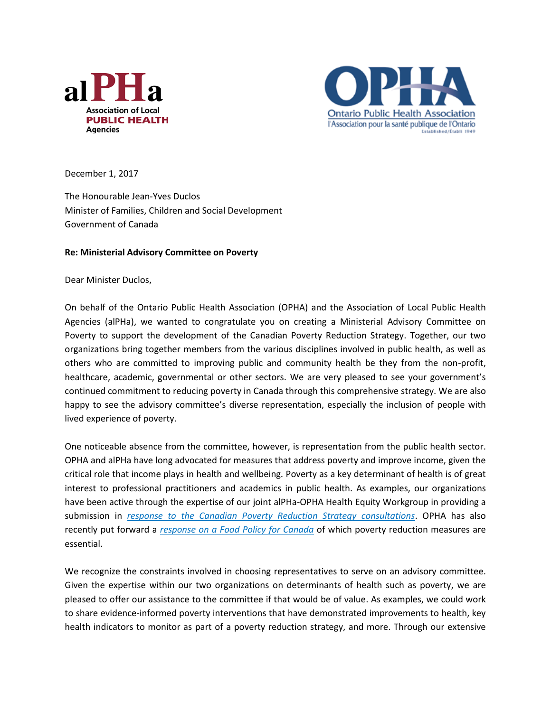



December 1, 2017

The Honourable Jean-Yves Duclos Minister of Families, Children and Social Development Government of Canada

## **Re: Ministerial Advisory Committee on Poverty**

Dear Minister Duclos,

On behalf of the Ontario Public Health Association (OPHA) and the Association of Local Public Health Agencies (alPHa), we wanted to congratulate you on creating a Ministerial Advisory Committee on Poverty to support the development of the Canadian Poverty Reduction Strategy. Together, our two organizations bring together members from the various disciplines involved in public health, as well as others who are committed to improving public and community health be they from the non-profit, healthcare, academic, governmental or other sectors. We are very pleased to see your government's continued commitment to reducing poverty in Canada through this comprehensive strategy. We are also happy to see the advisory committee's diverse representation, especially the inclusion of people with lived experience of poverty.

One noticeable absence from the committee, however, is representation from the public health sector. OPHA and alPHa have long advocated for measures that address poverty and improve income, given the critical role that income plays in health and wellbeing. Poverty as a key determinant of health is of great interest to professional practitioners and academics in public health. As examples, our organizations have been active through the expertise of our joint alPHa-OPHA Health Equity Workgroup in providing a submission in *[response to the Canadian Poverty Reduction Strategy consultations](http://www.opha.on.ca/getmedia/2a66eb1c-9f91-47da-92f8-b82a75f83032/alPHa_OPHA_PovertyReductionStrategySubmission-and-Letter-June-29-2017.pdf.aspx?ext=.pdf)*. OPHA has also recently put forward a *[response on a Food Policy for Canada](http://www.opha.on.ca/getmedia/1db8b518-5528-4b28-b431-b14032355168/OPHA-Response-national-food-policy-for-Canada-for-Sept-30_17.pdf.aspx?ext=.pdf)* of which poverty reduction measures are essential.

We recognize the constraints involved in choosing representatives to serve on an advisory committee. Given the expertise within our two organizations on determinants of health such as poverty, we are pleased to offer our assistance to the committee if that would be of value. As examples, we could work to share evidence-informed poverty interventions that have demonstrated improvements to health, key health indicators to monitor as part of a poverty reduction strategy, and more. Through our extensive